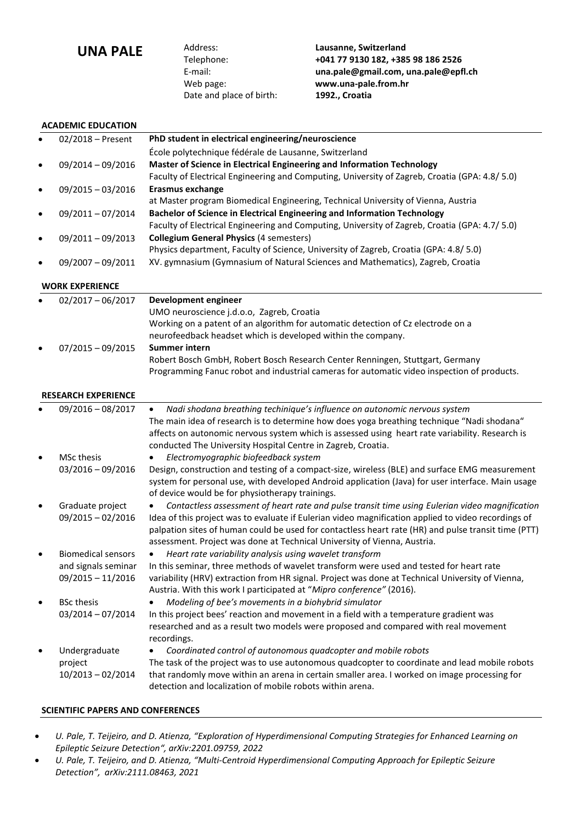**UNA PALE** Address: Lausanne, Switzerland<br>
Telephone: +041 77 9130 182, +38 Date and place of birth: **1992., Croatia**

Telephone: **+041 77 9130 182, +385 98 186 2526** E-mail: **[una.pale@gmail.com,](mailto:una.pale@gmail.com) una.pale@epfl.ch** Web page: **www.una-pale.from.hr**

# **ACADEMIC EDUCATION**

| $\bullet$ | $02/2018$ – Present | PhD student in electrical engineering/neuroscience                                            |
|-----------|---------------------|-----------------------------------------------------------------------------------------------|
|           |                     | École polytechnique fédérale de Lausanne, Switzerland                                         |
| $\bullet$ | 09/2014 - 09/2016   | Master of Science in Electrical Engineering and Information Technology                        |
|           |                     | Faculty of Electrical Engineering and Computing, University of Zagreb, Croatia (GPA: 4.8/5.0) |
| $\bullet$ | $09/2015 - 03/2016$ | Erasmus exchange                                                                              |
|           |                     | at Master program Biomedical Engineering, Technical University of Vienna, Austria             |
| $\bullet$ | 09/2011-07/2014     | Bachelor of Science in Electrical Engineering and Information Technology                      |
|           |                     | Faculty of Electrical Engineering and Computing, University of Zagreb, Croatia (GPA: 4.7/5.0) |
| $\bullet$ | 09/2011-09/2013     | <b>Collegium General Physics (4 semesters)</b>                                                |
|           |                     | Physics department, Faculty of Science, University of Zagreb, Croatia (GPA: 4.8/5.0)          |
| $\bullet$ | 09/2007 - 09/2011   | XV. gymnasium (Gymnasium of Natural Sciences and Mathematics), Zagreb, Croatia                |

#### **WORK EXPERIENCE**

| $\bullet$ | $02/2017 - 06/2017$        | Development engineer                                                                                        |
|-----------|----------------------------|-------------------------------------------------------------------------------------------------------------|
|           |                            | UMO neuroscience j.d.o.o, Zagreb, Croatia                                                                   |
|           |                            | Working on a patent of an algorithm for automatic detection of Cz electrode on a                            |
|           |                            | neurofeedback headset which is developed within the company.                                                |
| $\bullet$ | $07/2015 - 09/2015$        | <b>Summer intern</b>                                                                                        |
|           |                            | Robert Bosch GmbH, Robert Bosch Research Center Renningen, Stuttgart, Germany                               |
|           |                            | Programming Fanuc robot and industrial cameras for automatic video inspection of products.                  |
|           | <b>RESEARCH EXPERIENCE</b> |                                                                                                             |
|           | 09/2016 - 08/2017          | Nadi shodana breathing techinique's influence on autonomic nervous system<br>$\bullet$                      |
|           |                            | The main idea of research is to determine how does yoga breathing technique "Nadi shodana"                  |
|           |                            | affects on autonomic nervous system which is assessed using heart rate variability. Research is             |
|           |                            | conducted The University Hospital Centre in Zagreb, Croatia.                                                |
| $\bullet$ | MSc thesis                 | Electromyographic biofeedback system<br>$\bullet$                                                           |
|           | $03/2016 - 09/2016$        | Design, construction and testing of a compact-size, wireless (BLE) and surface EMG measurement              |
|           |                            | system for personal use, with developed Android application (Java) for user interface. Main usage           |
|           |                            | of device would be for physiotherapy trainings.                                                             |
| $\bullet$ | Graduate project           | Contactless assessment of heart rate and pulse transit time using Eulerian video magnification<br>$\bullet$ |
|           | $09/2015 - 02/2016$        | Idea of this project was to evaluate if Eulerian video magnification applied to video recordings of         |
|           |                            | palpation sites of human could be used for contactless heart rate (HR) and pulse transit time (PTT)         |
|           |                            | assessment. Project was done at Technical University of Vienna, Austria.                                    |
| $\bullet$ | <b>Biomedical sensors</b>  | Heart rate variability analysis using wavelet transform                                                     |
|           | and signals seminar        | In this seminar, three methods of wavelet transform were used and tested for heart rate                     |
|           | $09/2015 - 11/2016$        | variability (HRV) extraction from HR signal. Project was done at Technical University of Vienna,            |
|           |                            | Austria. With this work I participated at "Mipro conference" (2016).                                        |
| $\bullet$ | <b>BSc thesis</b>          | Modeling of bee's movements in a biohybrid simulator                                                        |
|           | 03/2014 - 07/2014          | In this project bees' reaction and movement in a field with a temperature gradient was                      |
|           |                            | researched and as a result two models were proposed and compared with real movement                         |
|           |                            | recordings.                                                                                                 |
| $\bullet$ | Undergraduate              | Coordinated control of autonomous quadcopter and mobile robots                                              |
|           | project                    | The task of the project was to use autonomous quadcopter to coordinate and lead mobile robots               |
|           | 10/2013-02/2014            | that randomly move within an arena in certain smaller area. I worked on image processing for                |
|           |                            | detection and localization of mobile robots within arena.                                                   |

# **SCIENTIFIC PAPERS AND CONFERENCES**

- *U. Pale, T. Teijeiro, and D. Atienza, "Exploration of Hyperdimensional Computing Strategies for Enhanced Learning on Epileptic Seizure Detection", arXiv:2201.09759, 2022*
- *U. Pale, T. Teijeiro, and D. Atienza, "Multi-Centroid Hyperdimensional Computing Approach for Epileptic Seizure Detection", arXiv:2111.08463, 2021*